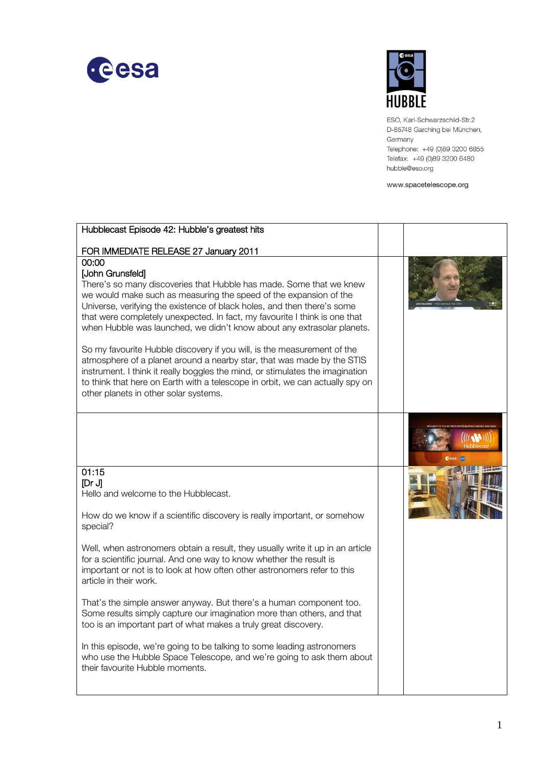



ESO, Karl-Schwarzschild-Str.2 D-85748 Garching bei München, Germany Telephone: +49 (0)89 3200 6855 Telefax: +49 (0)89 3200 6480 hubble@eso.org

www.spacetelescope.org

| Hubblecast Episode 42: Hubble's greatest hits                                                                                                                                                                                                                                                                                                                                                                                                                                                                                                                                                                                                                                                                                                                                                                            |  |
|--------------------------------------------------------------------------------------------------------------------------------------------------------------------------------------------------------------------------------------------------------------------------------------------------------------------------------------------------------------------------------------------------------------------------------------------------------------------------------------------------------------------------------------------------------------------------------------------------------------------------------------------------------------------------------------------------------------------------------------------------------------------------------------------------------------------------|--|
| FOR IMMEDIATE RELEASE 27 January 2011                                                                                                                                                                                                                                                                                                                                                                                                                                                                                                                                                                                                                                                                                                                                                                                    |  |
| 00:00<br><b>John Grunsfeld]</b><br>There's so many discoveries that Hubble has made. Some that we knew<br>we would make such as measuring the speed of the expansion of the<br>Universe, verifying the existence of black holes, and then there's some<br>that were completely unexpected. In fact, my favourite I think is one that<br>when Hubble was launched, we didn't know about any extrasolar planets.<br>So my favourite Hubble discovery if you will, is the measurement of the<br>atmosphere of a planet around a nearby star, that was made by the STIS<br>instrument. I think it really boggles the mind, or stimulates the imagination<br>to think that here on Earth with a telescope in orbit, we can actually spy on<br>other planets in other solar systems.                                           |  |
|                                                                                                                                                                                                                                                                                                                                                                                                                                                                                                                                                                                                                                                                                                                                                                                                                          |  |
| 01:15<br>[Dr J]<br>Hello and welcome to the Hubblecast.<br>How do we know if a scientific discovery is really important, or somehow<br>special?<br>Well, when astronomers obtain a result, they usually write it up in an article<br>for a scientific journal. And one way to know whether the result is<br>important or not is to look at how often other astronomers refer to this<br>article in their work.<br>That's the simple answer anyway. But there's a human component too.<br>Some results simply capture our imagination more than others, and that<br>too is an important part of what makes a truly great discovery.<br>In this episode, we're going to be talking to some leading astronomers<br>who use the Hubble Space Telescope, and we're going to ask them about<br>their favourite Hubble moments. |  |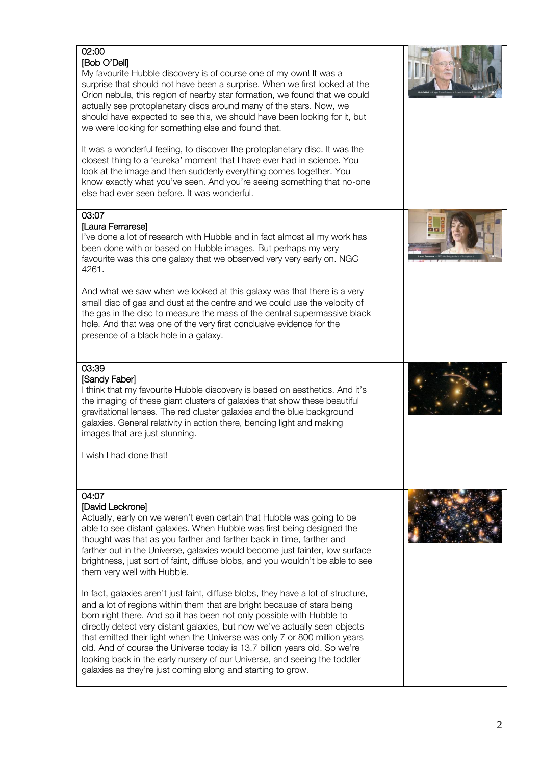| 02:00<br>[Bob O'Dell]<br>My favourite Hubble discovery is of course one of my own! It was a<br>surprise that should not have been a surprise. When we first looked at the<br>Orion nebula, this region of nearby star formation, we found that we could<br>actually see protoplanetary discs around many of the stars. Now, we<br>should have expected to see this, we should have been looking for it, but<br>we were looking for something else and found that.                                                                                                                                                          |  |
|----------------------------------------------------------------------------------------------------------------------------------------------------------------------------------------------------------------------------------------------------------------------------------------------------------------------------------------------------------------------------------------------------------------------------------------------------------------------------------------------------------------------------------------------------------------------------------------------------------------------------|--|
| It was a wonderful feeling, to discover the protoplanetary disc. It was the<br>closest thing to a 'eureka' moment that I have ever had in science. You<br>look at the image and then suddenly everything comes together. You<br>know exactly what you've seen. And you're seeing something that no-one<br>else had ever seen before. It was wonderful.                                                                                                                                                                                                                                                                     |  |
| 03:07<br>[Laura Ferrarese]<br>I've done a lot of research with Hubble and in fact almost all my work has<br>been done with or based on Hubble images. But perhaps my very<br>favourite was this one galaxy that we observed very very early on. NGC<br>4261.                                                                                                                                                                                                                                                                                                                                                               |  |
| And what we saw when we looked at this galaxy was that there is a very<br>small disc of gas and dust at the centre and we could use the velocity of<br>the gas in the disc to measure the mass of the central supermassive black<br>hole. And that was one of the very first conclusive evidence for the<br>presence of a black hole in a galaxy.                                                                                                                                                                                                                                                                          |  |
| 03:39<br>[Sandy Faber]<br>I think that my favourite Hubble discovery is based on aesthetics. And it's<br>the imaging of these giant clusters of galaxies that show these beautiful<br>gravitational lenses. The red cluster galaxies and the blue background<br>galaxies. General relativity in action there, bending light and making<br>images that are just stunning.                                                                                                                                                                                                                                                   |  |
| I wish I had done that!                                                                                                                                                                                                                                                                                                                                                                                                                                                                                                                                                                                                    |  |
| 04:07<br>[David Leckrone]<br>Actually, early on we weren't even certain that Hubble was going to be<br>able to see distant galaxies. When Hubble was first being designed the<br>thought was that as you farther and farther back in time, farther and<br>farther out in the Universe, galaxies would become just fainter, low surface<br>brightness, just sort of faint, diffuse blobs, and you wouldn't be able to see<br>them very well with Hubble.                                                                                                                                                                    |  |
| In fact, galaxies aren't just faint, diffuse blobs, they have a lot of structure,<br>and a lot of regions within them that are bright because of stars being<br>born right there. And so it has been not only possible with Hubble to<br>directly detect very distant galaxies, but now we've actually seen objects<br>that emitted their light when the Universe was only 7 or 800 million years<br>old. And of course the Universe today is 13.7 billion years old. So we're<br>looking back in the early nursery of our Universe, and seeing the toddler<br>galaxies as they're just coming along and starting to grow. |  |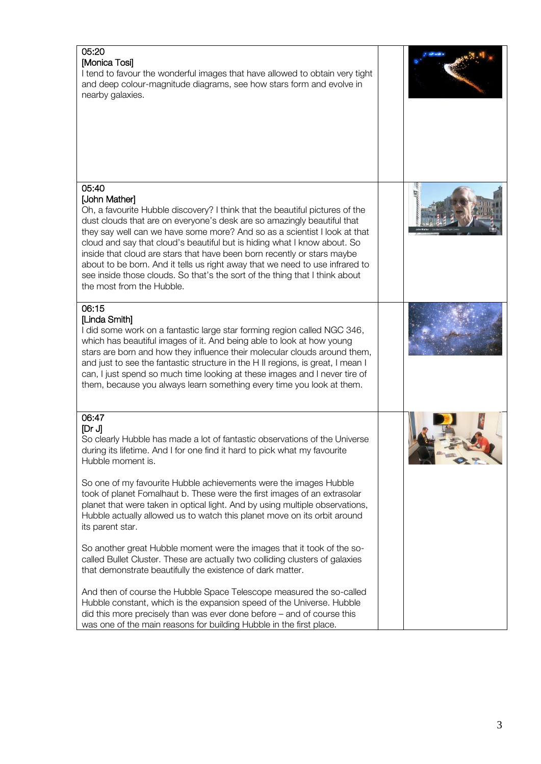| 05:20<br>[Monica Tosi]<br>I tend to favour the wonderful images that have allowed to obtain very tight<br>and deep colour-magnitude diagrams, see how stars form and evolve in<br>nearby galaxies.                                                                                                                                                                                                                                                                                                                                                                                                                                                                                                                                                                                                                                                                                                                                                                                                                                                         |  |
|------------------------------------------------------------------------------------------------------------------------------------------------------------------------------------------------------------------------------------------------------------------------------------------------------------------------------------------------------------------------------------------------------------------------------------------------------------------------------------------------------------------------------------------------------------------------------------------------------------------------------------------------------------------------------------------------------------------------------------------------------------------------------------------------------------------------------------------------------------------------------------------------------------------------------------------------------------------------------------------------------------------------------------------------------------|--|
| 05:40<br>[John Mather]<br>Oh, a favourite Hubble discovery? I think that the beautiful pictures of the<br>dust clouds that are on everyone's desk are so amazingly beautiful that<br>they say well can we have some more? And so as a scientist I look at that<br>cloud and say that cloud's beautiful but is hiding what I know about. So<br>inside that cloud are stars that have been born recently or stars maybe<br>about to be born. And it tells us right away that we need to use infrared to<br>see inside those clouds. So that's the sort of the thing that I think about<br>the most from the Hubble.                                                                                                                                                                                                                                                                                                                                                                                                                                          |  |
| 06:15<br>[Linda Smith]<br>I did some work on a fantastic large star forming region called NGC 346,<br>which has beautiful images of it. And being able to look at how young<br>stars are born and how they influence their molecular clouds around them,<br>and just to see the fantastic structure in the H II regions, is great, I mean I<br>can, I just spend so much time looking at these images and I never tire of<br>them, because you always learn something every time you look at them.                                                                                                                                                                                                                                                                                                                                                                                                                                                                                                                                                         |  |
| 06:47<br>[Dr J]<br>So clearly Hubble has made a lot of fantastic observations of the Universe<br>during its lifetime. And I for one find it hard to pick what my favourite<br>Hubble moment is.<br>So one of my favourite Hubble achievements were the images Hubble<br>took of planet Fomalhaut b. These were the first images of an extrasolar<br>planet that were taken in optical light. And by using multiple observations,<br>Hubble actually allowed us to watch this planet move on its orbit around<br>its parent star.<br>So another great Hubble moment were the images that it took of the so-<br>called Bullet Cluster. These are actually two colliding clusters of galaxies<br>that demonstrate beautifully the existence of dark matter.<br>And then of course the Hubble Space Telescope measured the so-called<br>Hubble constant, which is the expansion speed of the Universe. Hubble<br>did this more precisely than was ever done before – and of course this<br>was one of the main reasons for building Hubble in the first place. |  |